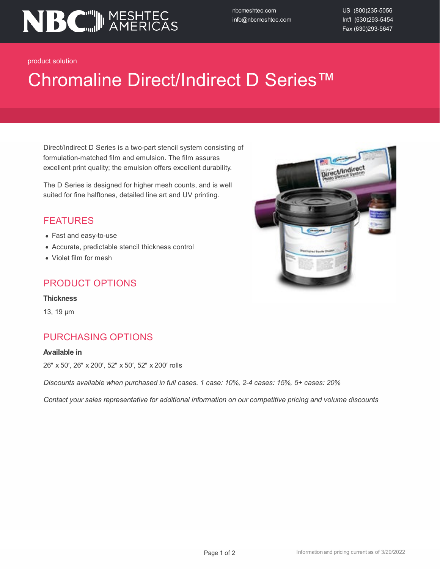

nbcmeshtec.com info@nbcmeshtec.com US (800)235-5056 Int'l (630)293-5454 Fax (630)293-5647

product solution

# Chromaline Direct/Indirect D Series™

Direct/Indirect D Series is a two-part stencil system consisting of formulation-matched film and emulsion. The film assures excellent print quality; the emulsion offers excellent durability.

The D Series is designed for higher mesh counts, and is well suited for fine halftones, detailed line art and UV printing.

### FEATURES

- Fast and easy-to-use
- Accurate, predictable stencil thickness control
- Violet film for mesh

### PRODUCT OPTIONS

#### **Thickness**

13, 19 µm

## PURCHASING OPTIONS

#### **Available in**

26″ x 50′, 26″ x 200′, 52″ x 50′, 52″ x 200′ rolls

*Discounts available when purchased in full cases. 1 case: 10%, 2-4 cases: 15%, 5+ cases: 20%*

*Contact your sales representative for additional information on our competitive pricing and volume discounts*